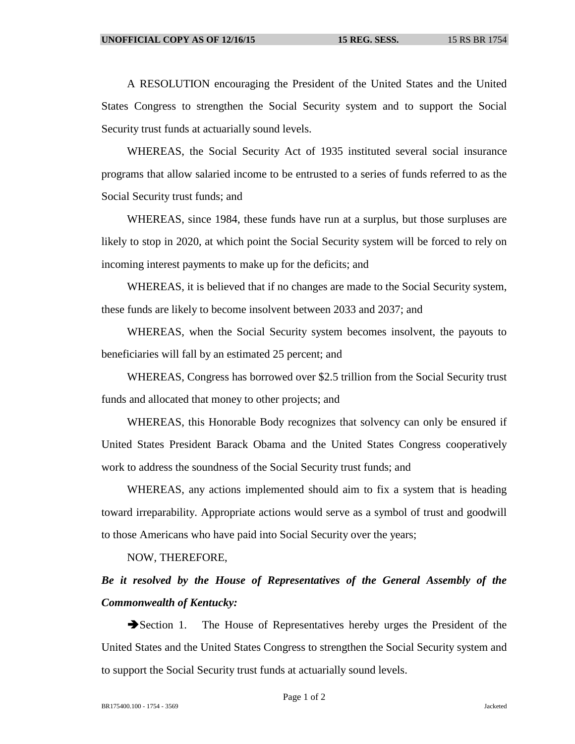A RESOLUTION encouraging the President of the United States and the United States Congress to strengthen the Social Security system and to support the Social Security trust funds at actuarially sound levels.

WHEREAS, the Social Security Act of 1935 instituted several social insurance programs that allow salaried income to be entrusted to a series of funds referred to as the Social Security trust funds; and

WHEREAS, since 1984, these funds have run at a surplus, but those surpluses are likely to stop in 2020, at which point the Social Security system will be forced to rely on incoming interest payments to make up for the deficits; and

WHEREAS, it is believed that if no changes are made to the Social Security system, these funds are likely to become insolvent between 2033 and 2037; and

WHEREAS, when the Social Security system becomes insolvent, the payouts to beneficiaries will fall by an estimated 25 percent; and

WHEREAS, Congress has borrowed over \$2.5 trillion from the Social Security trust funds and allocated that money to other projects; and

WHEREAS, this Honorable Body recognizes that solvency can only be ensured if United States President Barack Obama and the United States Congress cooperatively work to address the soundness of the Social Security trust funds; and

WHEREAS, any actions implemented should aim to fix a system that is heading toward irreparability. Appropriate actions would serve as a symbol of trust and goodwill to those Americans who have paid into Social Security over the years;

NOW, THEREFORE,

## *Be it resolved by the House of Representatives of the General Assembly of the Commonwealth of Kentucky:*

Section 1. The House of Representatives hereby urges the President of the United States and the United States Congress to strengthen the Social Security system and to support the Social Security trust funds at actuarially sound levels.